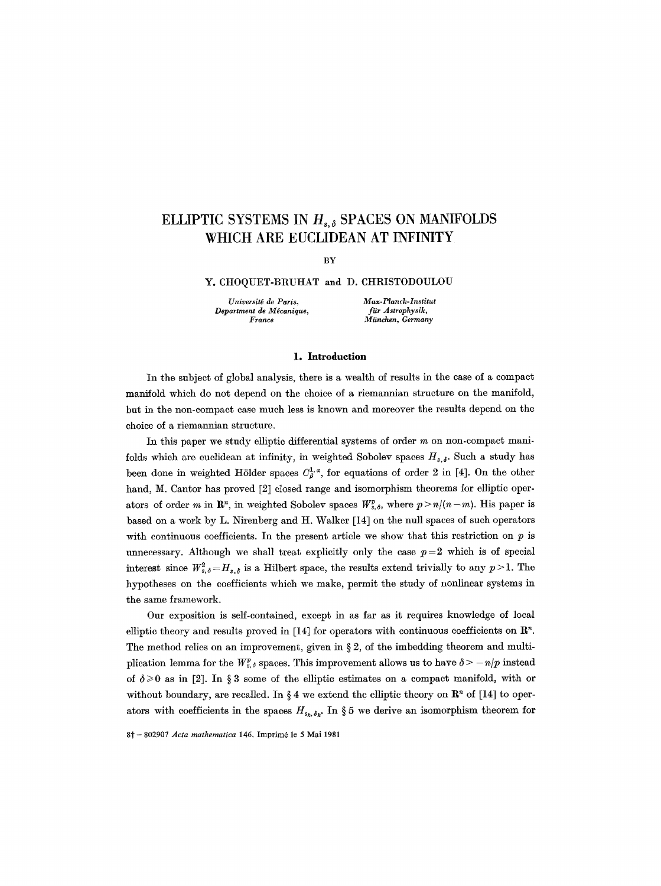# ELLIPTIC SYSTEMS IN  $H_{s,\delta}$  SPACES ON MANIFOLDS **WHICH ARE EUCLIDEAN AT INFINITY**

BY

#### Y. CHOQUET-BRUHAT and D. CHRISTODOULOU

*Universit~ de Paris, Max-Planek-Institut Department de Mécanique,*<br>*France* 

 $M$ *ünchen, Germany* 

#### **1. Introduction**

In the subject of global analysis, there is a wealth of results in the case of a compact manifold which do not depend on the choice of a riemannian structure on the manifold, but in the non-compact case much less is known and moreover the results depend on the choice of a riemannian structure.

In this paper we study elliptic differential systems of order  $m$  on non-compact manifolds which are euclidean at infinity, in weighted Sobolev spaces  $H_{s,\delta}$ . Such a study has been done in weighted Hölder spaces  $C^{1,\alpha}_{\beta}$ , for equations of order 2 in [4]. On the other hand, M. Cantor has proved [2] closed range and isomorphism theorems for elliptic operators of order m in  $\mathbb{R}^n$ , in weighted Sobolev spaces  $W_{s,\delta}^p$ , where  $p > n/(n-m)$ . His paper is based on a work by L. Nirenberg and H. Walker [14] on the null spaces of such operators with continuous coefficients. In the present article we show that this restriction on  $p$  is unnecessary. Although we shall treat explicitly only the case  $p=2$  which is of special interest since  $W_{s,\delta}^2 = H_{s,\delta}$  is a Hilbert space, the results extend trivially to any  $p > 1$ . The hypotheses on the coefficients which we make, permit the study of nonlinear systems in the same framework.

Our exposition is self-contained, except in as far as it requires knowledge of local elliptic theory and results proved in [14] for operators with continuous coefficients on  $\mathbb{R}^n$ . The method relies on an improvement, given in  $\S 2$ , of the imbedding theorem and multiplication lemma for the  $W_{s,\delta}^p$  spaces. This improvement allows us to have  $\delta > -n/p$  instead of  $\delta \geq 0$  as in [2]. In § 3 some of the elliptic estimates on a compact manifold, with or without boundary, are recalled. In § 4 we extend the elliptic theory on  $\mathbb{R}^n$  of [14] to operators with coefficients in the spaces  $H_{s_k, \delta_k}$ . In § 5 we derive an isomorphism theorem for

8t - 802907 *Acta mathematica* 145. Imprim6 le 5 Mai 1981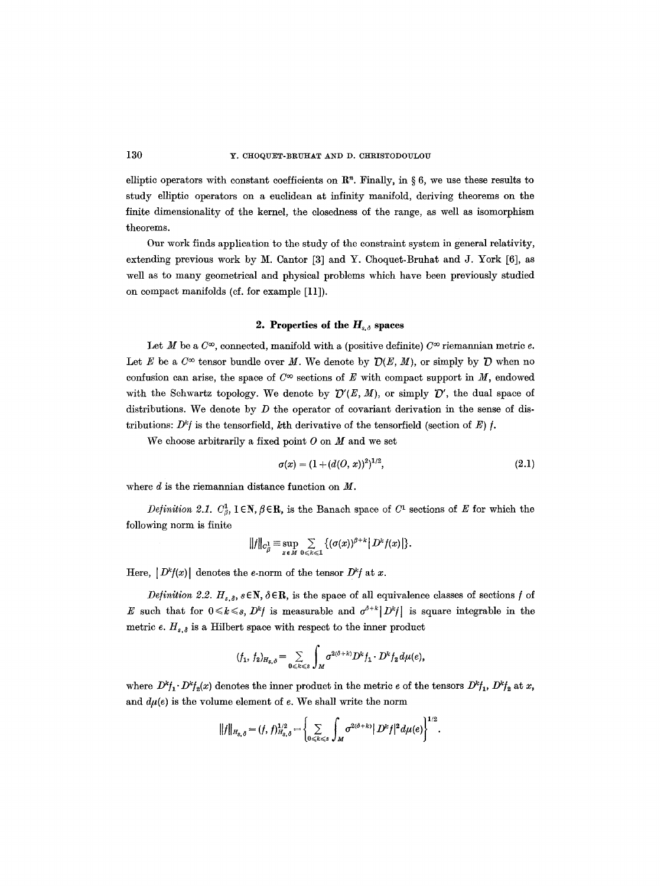elliptic operators with constant coefficients on  $\mathbb{R}^n$ . Finally, in § 6, we use these results to study elliptic operators on a euclidean at infinity manifold, deriving theorems on **the**  finite dimensionality of the kernel, the elosedness of the range, as well as isomorphism theorems.

Our work finds application to the study of the constraint system in general relativity, extending previous work by M. Cantor [3] and Y. Choquet-Bruhat and J. York [6], as well as to many geometrical and physical problems which have been previously studied on compact manifolds (cf. for example [11]).

## **2. Properties of the**  $H_{s,\delta}$  **spaces**

Let M be a  $C^{\infty}$ , connected, manifold with a (positive definite)  $C^{\infty}$  riemannian metric e. Let E be a  $C^{\infty}$  tensor bundle over M. We denote by  $\mathcal{D}(E, M)$ , or simply by  $\mathcal D$  when no confusion can arise, the space of  $C^{\infty}$  sections of E with compact support in M, endowed with the Schwartz topology. We denote by  $\mathcal{D}'(E, M)$ , or simply  $\mathcal{D}'$ , the dual space of distributions. We denote by  $D$  the operator of covariant derivation in the sense of distributions:  $D^k f$  is the tensorfield, kth derivative of the tensorfield (section of E) f.

We choose arbitrarily a fixed point  $O$  on  $M$  and we set

$$
\sigma(x) = (1 + (d(O, x))^2)^{1/2},\tag{2.1}
$$

where  $d$  is the riemannian distance function on  $M$ .

*Definition 2.1.*  $C^1_{\beta}$ ,  $1 \in \mathbb{N}$ ,  $\beta \in \mathbb{R}$ , is the Banach space of  $C^1$  sections of E for which the following norm is finite

$$
||f||_{C_{\beta}^1} \equiv \sup_{x \in M} \sum_{0 \leq k \leq 1} \{(\sigma(x))^{\beta+k} | D^k f(x) | \}.
$$

Here,  $|D^k f(x)|$  denotes the e-norm of the tensor  $D^k f$  at x.

*Definition 2.2.*  $H_{s,\delta}$ ,  $s \in \mathbb{N}$ ,  $\delta \in \mathbb{R}$ , is the space of all equivalence classes of sections f of E such that for  $0 \le k \le s$ ,  $D^k f$  is measurable and  $\sigma^{\delta+k}[D^k f]$  is square integrable in the metric e.  $H_{s,\delta}$  is a Hilbert space with respect to the inner product

$$
(f_1, f_2)_{H_{\mathcal{S}, \delta}} = \sum_{0 \leq k \leq \delta} \int_M \sigma^{2(\delta + k)} D^k f_1 \cdot D^k f_2 d\mu(e),
$$

where  $D^k f_1 \cdot D^k f_2(x)$  denotes the inner product in the metric e of the tensors  $D^k f_1$ ,  $D^k f_2$  at x, and  $d\mu(e)$  is the volume element of  $e$ . We shall write the norm

$$
||f||_{H_{s,\delta}} = (f, f)|_{H_{s,\delta}}^{1/2} = \left\{ \sum_{0 \leq k \leq s} \int_M \sigma^{2(\delta + k)} |D^k f|^2 d\mu(e) \right\}^{1/2}.
$$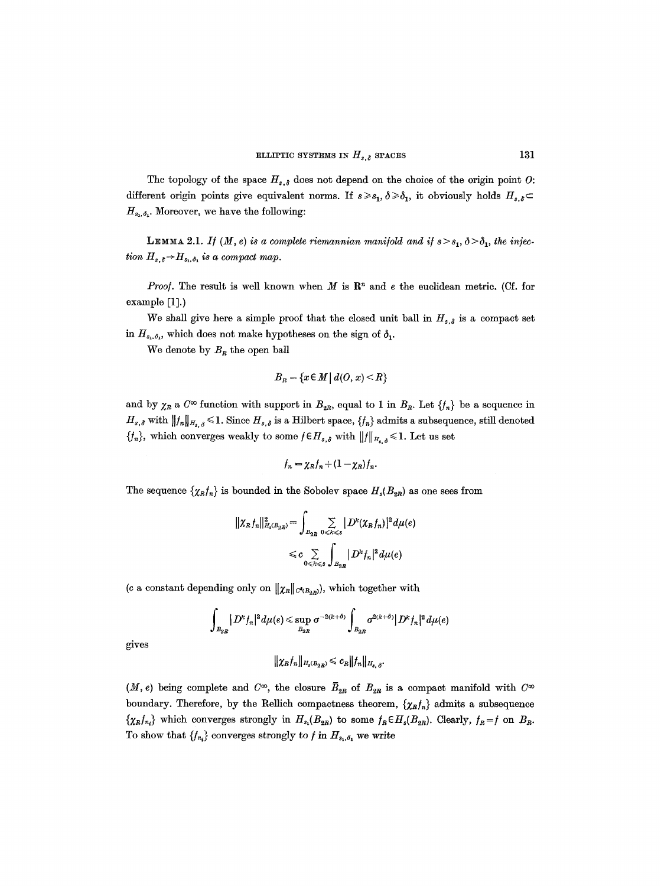The topology of the space  $H_{s,\delta}$  does not depend on the choice of the origin point O: different origin points give equivalent norms. If  $s \geq s_1$ ,  $\delta \geq \delta_1$ , it obviously holds  $H_{s,\delta} \subset$  $H_{s_1,\delta_1}$ . Moreover, we have the following:

**LEMMA** 2.1. *If*  $(M, e)$  is a complete riemannian manifold and if  $s > s_1$ ,  $\delta > \delta_1$ , the injec*tion*  $H_{s,\delta} \rightarrow H_{s_1,\delta_1}$  *is a compact map.* 

*Proof.* The result is well known when M is  $\mathbb{R}^n$  and e the euclidean metric. (Cf. for example [1].)

We shall give here a simple proof that the closed unit ball in  $H_{s,\delta}$  is a compact set in  $H_{s_1,\delta_1}$ , which does not make hypotheses on the sign of  $\delta_1$ .

We denote by  $B_R$  the open ball

$$
B_R = \{x \in M \mid d(O, x) < R\}
$$

and by  $\chi_R$  a  $C^{\infty}$  function with support in  $B_{2R}$ , equal to 1 in  $B_R$ . Let  $\{f_n\}$  be a sequence in  $H_{s,\delta}$  with  $||f_n||_{H_{s,\delta}} \leq 1$ . Since  $H_{s,\delta}$  is a Hilbert space,  $\{f_n\}$  admits a subsequence, still denoted  $\{f_n\}$ , which converges weakly to some  $f \in H_{s,\delta}$  with  $||f||_{H_{s,\delta}} \leq 1$ . Let us set

$$
f_n = \chi_R f_n + (1 - \chi_R) f_n.
$$

The sequence  $\{\chi_R f_n\}$  is bounded in the Sobolev space  $H_s(B_{2R})$  as one sees from

$$
\begin{aligned} \|\chi_R f_n\|_{H_s(B_{2R})}^2 &= \int_{B_{2R}} \sum_{0 \le k \le s} |D^k(\chi_R f_n)|^2 d\mu(e) \\ &\le c \sum_{0 \le k \le s} \int_{B_{2R}} |D^k f_n|^2 d\mu(e) \end{aligned}
$$

(c a constant depending only on  $\|\chi_{R}\|_{C^{\bullet}(B_{2R})}$ ), which together with

$$
\int_{B_{2R}} |D^k f_n|^2 d\mu(e) \leq \sup_{B_{2R}} \sigma^{-2(k+\delta)} \int_{B_{2R}} \sigma^{2(k+\delta)} |D^k f_n|^2 d\mu(e)
$$

gives

 $\|\chi_R f_n\|_{H_s(B_{2R})} \leqslant c_R \|f_n\|_{H_{s,\delta}}.$ 

 $(M, e)$  being complete and  $C^{\infty}$ , the closure  $\overline{B}_{2R}$  of  $B_{2R}$  is a compact manifold with  $C^{\infty}$ boundary. Therefore, by the Rellich compactness theorem,  $\{\chi_Rf_n\}$  admits a subsequence  $\{\chi_R f_{n_i}\}\$  which converges strongly in  $H_{s_1}(B_{2R})$  to some  $f_R \in H_s(B_{2R})$ . Clearly,  $f_R = f$  on  $B_R$ . To show that  $\{f_{n_i}\}$  converges strongly to f in  $H_{s_1,\delta_1}$  we write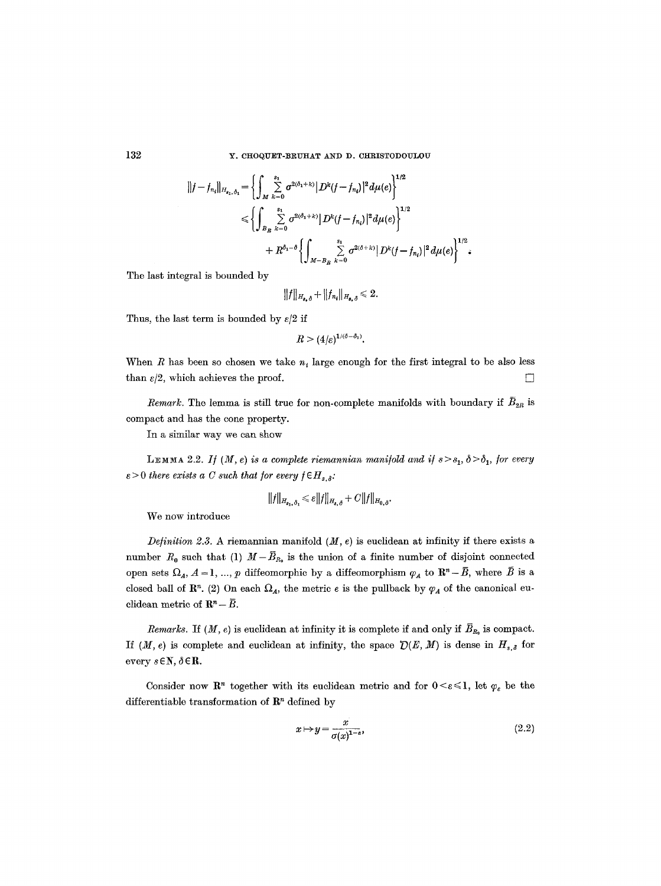$$
||f - f_{n_i}||_{H_{s_1,\delta_1}} = \left\{ \int_M \sum_{k=0}^{s_1} \sigma^{2(\delta_1 + k)} |D^k(f - f_{n_i})|^2 d\mu(e) \right\}^{1/2}
$$
  

$$
\leq \left\{ \int_M \sum_{k=0}^{s_1} \sigma^{2(\delta_1 + k)} |D^k(f - f_{n_i})|^2 d\mu(e) \right\}^{1/2}
$$
  

$$
+ R^{\delta_1 - \delta} \left\{ \int_M \sum_{k=0}^{s_1} \sigma^{2(\delta + k)} |D^k(f - f_{n_i})|^2 d\mu(e) \right\}^{1/2}.
$$

The last integral is bounded by

$$
||f||_{H_{s,\delta}} + ||f_{n_i}||_{H_{s,\delta}} \leq 2.
$$

Thus, the last term is bounded by  $\varepsilon/2$  if

$$
R>(4/\varepsilon)^{1/(\delta-\delta_1)}.
$$

When R has been so chosen we take  $n_t$  large enough for the first integral to be also less than  $\varepsilon/2$ , which achieves the proof.  $\Box$ 

*Remark.* The lemma is still true for non-complete manifolds with boundary if  $\bar{B}_{2R}$  is compact and has the cone property.

In a similar way we can show

LEMMA 2.2. *If*  $(M, e)$  is a complete riemannian manifold and if  $s > s_1$ ,  $\delta > \delta_1$ , for every  $\varepsilon > 0$  there exists a C such that for every  $f \in H_{s,\delta}$ .

$$
||f||_{H_{s_1,\delta_1}} \leqslant \varepsilon ||f||_{H_{s,\delta}} + C||f||_{H_{0,\delta}}.
$$

We now introduce

*Definition 2.3.* A riemannian manifold  $(M, e)$  is euclidean at infinity if there exists a number  $R_0$  such that (1)  $M-\bar{B}_{R_0}$  is the union of a finite number of disjoint connected open sets  $\Omega_A$ ,  $A = 1, ..., p$  diffeomorphic by a diffeomorphism  $\varphi_A$  to  $\mathbb{R}^n-\bar{B}$ , where  $\bar{B}$  is a closed ball of  $\mathbb{R}^n$ . (2) On each  $\Omega_A$ , the metric e is the pullback by  $\varphi_A$  of the canonical euclidean metric of  $\mathbf{R}^n - \overline{B}$ .

*Remarks.* If  $(M, e)$  is euclidean at infinity it is complete if and only if  $\overline{B}_{R_0}$  is compact. If  $(M, e)$  is complete and euclidean at infinity, the space  $\mathcal{D}(E, M)$  is dense in  $H_{s, \delta}$  for every  $s \in \mathbb{N}, \delta \in \mathbb{R}$ .

Consider now  $\mathbb{R}^n$  together with its euclidean metric and for  $0 \leq \varepsilon \leq 1$ , let  $\varphi_{\varepsilon}$  be the differentiable transformation of  $\mathbb{R}^n$  defined by

$$
x \mapsto y = \frac{x}{\sigma(x)^{1-\epsilon}},\tag{2.2}
$$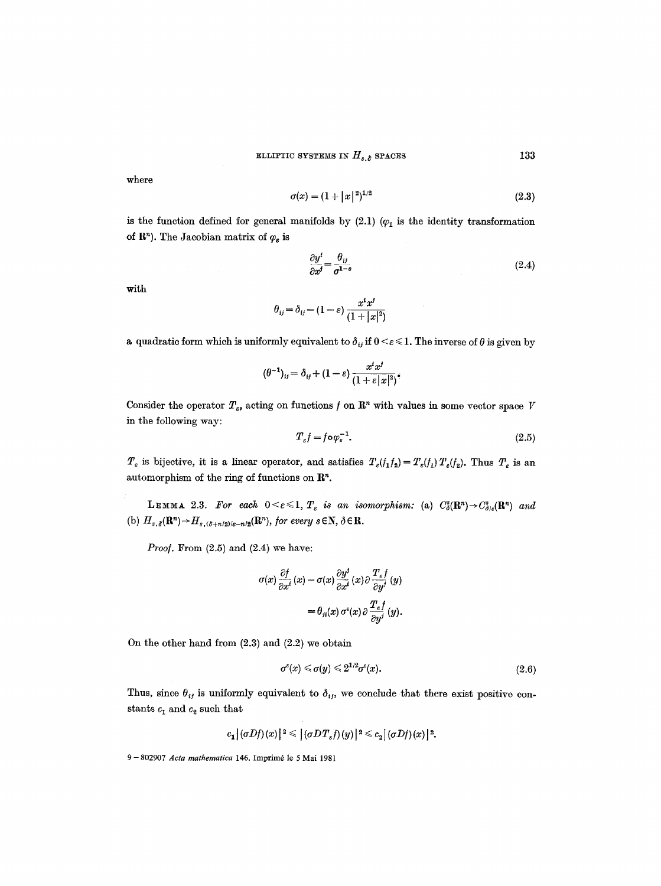where

$$
\sigma(x) = (1 + |x|^2)^{1/2} \tag{2.3}
$$

is the function defined for general manifolds by  $(2.1)$   $(\varphi_1$  is the identity transformation of  $\mathbb{R}^n$ ). The Jacobian matrix of  $\varphi_{\varepsilon}$  is

$$
\frac{\partial y^i}{\partial x^j} = \frac{\theta_{ij}}{\sigma^{1-s}}\tag{2.4}
$$

with

$$
\theta_{ij} = \delta_{ij} - (1-\varepsilon) \, \frac{x^i x^j}{(1+|x|^2)}
$$

a quadratic form which is uniformly equivalent to  $\delta_{ij}$  if  $0 \leq \varepsilon \leq 1$ . The inverse of  $\theta$  is given by

$$
(\theta^{-1})_{ij}=\delta_{ij}+(1-\varepsilon)\frac{x^ix^j}{(1+\varepsilon|x|^2)},
$$

Consider the operator  $T_s$ , acting on functions f on  $\mathbb{R}^n$  with values in some vector space V in the following way:

$$
T_{\varepsilon}f = f \circ \varphi_{\varepsilon}^{-1}.
$$
\n
$$
(2.5)
$$

 $T_{\varepsilon}$  is bijective, it is a linear operator, and satisfies  $T_{\varepsilon}(f_1f_2) = T_{\varepsilon}(f_1) T_{\varepsilon}(f_2)$ . Thus  $T_{\varepsilon}$  is an automorphism of the ring of functions on  $\mathbb{R}^n$ .

LEMMA 2.3. For each  $0 \leq \varepsilon \leq 1$ ,  $T_{\varepsilon}$  is an isomorphism: (a)  $C_{\delta}^{s}(\mathbb{R}^{n}) \rightarrow C_{\delta/\varepsilon}^{s}(\mathbb{R}^{n})$  and (b)  $H_{s,\delta}(\mathbf{R}^n) \rightarrow H_{s,(\delta+n/2)/\varepsilon-n/2}(\mathbf{R}^n)$ , for every  $s \in \mathbf{N}, \delta \in \mathbf{R}$ .

*Proof.* From (2.5) and (2.4) we have:

$$
\sigma(x) \frac{\partial f}{\partial x^i}(x) = \sigma(x) \frac{\partial y^i}{\partial x^i}(x) \partial \frac{T_{\epsilon} f}{\partial y^j}(y)
$$

$$
= \theta_{ji}(x) \sigma^{\epsilon}(x) \partial \frac{T_{\epsilon} f}{\partial y^j}(y).
$$

On the other hand from (2.3) and (2.2) we obtain

$$
\sigma^{\varepsilon}(x) \leqslant \sigma(y) \leqslant 2^{1/2} \sigma^{\varepsilon}(x). \tag{2.6}
$$

Thus, since  $\theta_{ij}$  is uniformly equivalent to  $\delta_{ij}$ , we conclude that there exist positive constants  $c_1$  and  $c_2$  such that

$$
c_1 |(\sigma Df)(x)|^2 \leqslant |(\sigma DT_{\varepsilon}f)(y)|^2 \leqslant c_2 |(\sigma Df)(x)|^2.
$$

<sup>9 - 802907</sup> Acta mathematica 146. Imprimé le 5 Mai 1981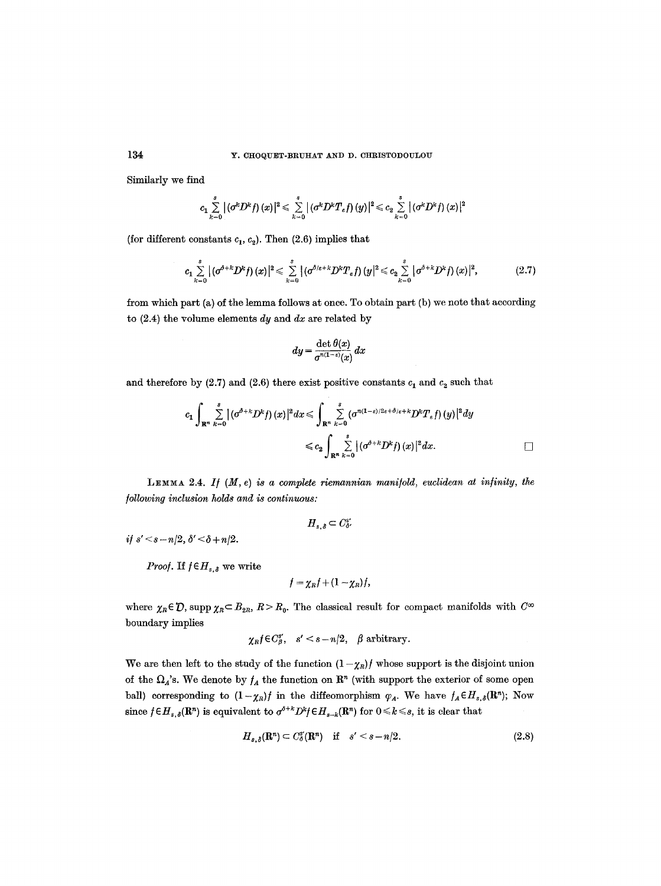Similarly we find

$$
c_1\sum_{k=0}^s\big|(\sigma^kD^kf)\left(x\right)|^2\leqslant \sum_{k=0}^s\big|(\sigma^kD^kT_{\varepsilon}f)\left(y\right)|^2\!\leqslant c_2\sum_{k=0}^s\big|(\sigma^kD^kf)\left(x\right)|^2
$$

(for different constants  $c_1, c_2$ ). Then (2.6) implies that

$$
c_{1}\sum_{k=0}^{s} |(\sigma^{\delta+k}D^{k}f)(x)|^{2} \leq \sum_{k=0}^{s} |(\sigma^{\delta/\varepsilon+k}D^{k}T_{\varepsilon}f)(y|^{2} \leq c_{2}\sum_{k=0}^{s} |\sigma^{\delta+k}D^{k}f)(x)|^{2}, \qquad (2.7)
$$

from which part (a) of the lemma follows at once. To obtain part (b) we note that according to  $(2.4)$  the volume elements dy and dx are related by

$$
dy = \frac{\det \theta(x)}{\sigma^{n(1-\varepsilon)}(x)} dx
$$

and therefore by (2.7) and (2.6) there exist positive constants  $c_1$  and  $c_2$  such that

$$
c_1 \int_{\mathbf{R}^n} \sum_{k=0}^s |(\sigma^{\delta+k} D^k f)(x)|^2 dx \leqslant \int_{\mathbf{R}^n} \sum_{k=0}^s (\sigma^{n(1-\varepsilon)/2\varepsilon+\delta/\varepsilon+k} D^k T_\varepsilon f)(y)|^2 dy
$$
  

$$
\leqslant c_2 \int_{\mathbf{R}^n} \sum_{k=0}^s |(\sigma^{\delta+k} D^k f)(x)|^2 dx.
$$

LEMMA 2.4. If  $(M, e)$  *is a complete riemannian manifold, euclidean at infinity, the /ollowing inclusion holds and is continuous:* 

 $H_{s,\delta} \subset C_{\delta}^{s'}$ 

*if*  $s' < s - n/2$ ,  $\delta' < \delta + n/2$ .

*Proof.* If  $f \in H_{s,\delta}$  we write

$$
f=\chi_Rf+(1-\chi_R)f,
$$

where  $\chi_R \in \mathcal{D}$ , supp  $\chi_R \subset B_{2R}$ ,  $R > R_0$ . The classical result for compact manifolds with  $C^{\infty}$ boundary implies

$$
\chi_{R}f \in C_{\beta}^{s'}, \quad s' < s - n/2, \quad \beta \text{ arbitrary.}
$$

We are then left to the study of the function  $(1 - \chi_R)f$  whose support is the disjoint union of the  $\Omega_A$ 's. We denote by  $f_A$  the function on  $\mathbb{R}^n$  (with support the exterior of some open ball) corresponding to  $(1-\chi_R)f$  in the diffeomorphism  $\varphi_A$ . We have  $f_A \in H_{s,\delta}(\mathbf{R}^n)$ ; Now since  $f \in H_{s,\delta}(\mathbb{R}^n)$  is equivalent to  $\sigma^{\delta+k} D^k f \in H_{s-k}(\mathbb{R}^n)$  for  $0 \leq k \leq s$ , it is clear that

$$
H_{s,\delta}(\mathbf{R}^n) \subset C^s_{\delta}(\mathbf{R}^n) \quad \text{if} \quad s' < s - n/2. \tag{2.8}
$$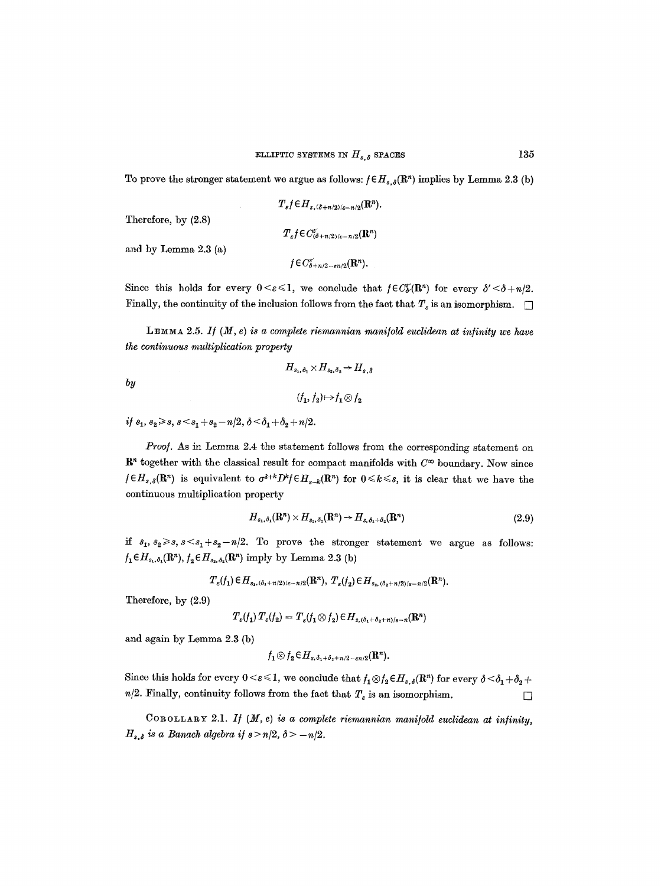To prove the stronger statement we argue as follows:  $f \in H_{s,\delta}(\mathbb{R}^n)$  implies by Lemma 2.3 (b)

$$
T_{\varepsilon}f \in H_{s, (\delta + n/2)/\varepsilon - n/2}(\mathbf{R}^n).
$$
  

$$
T_{\varepsilon}f \in C^s_{(\delta + n/2)/\varepsilon - n/2}(\mathbf{R}^n)
$$

and by Lemma 2.3 (a)

Therefore, by (2.8)

*by* 

$$
f\in C^{s'}_{\delta+n/2-\epsilon n/2}(\mathbf{R}^n).
$$

Since this holds for every  $0 \leq \varepsilon \leq 1$ , we conclude that  $f \in C_{\delta}^{s'}(\mathbb{R}^n)$  for every  $\delta' \leq \delta + n/2$ . Finally, the continuity of the inclusion follows from the fact that  $T<sub>s</sub>$  is an isomorphism.  $\Box$ 

LEMMA 2.5. If  $(M, e)$  *is a complete riemannian manifold euclidean at infinity we have the continuous multiplication property* 

$$
H_{s_1, \delta_1} \times H_{s_2, \delta_2} \to H_{s, \delta}
$$

$$
(f_1, f_2) \mapsto f_1 \otimes f_2
$$

 $if s_1, s_2 \ge s, s < s_1 + s_2 - n/2, \delta < \delta_1 + \delta_2 + n/2.$ 

*Proo/.* As in Lemma 2.4 the statement follows from the corresponding statement on  $\mathbb{R}^n$  together with the classical result for compact manifolds with  $C^{\infty}$  boundary. Now since  $f \in H_{s,\delta}(\mathbb{R}^n)$  is equivalent to  $\sigma^{\delta+k} D^k f \in H_{s-k}(\mathbb{R}^n)$  for  $0 \leq k \leq s$ , it is clear that we have the continuous multiplication property

$$
H_{s_1,\delta_1}(\mathbf{R}^n) \times H_{s_3,\delta_2}(\mathbf{R}^n) \to H_{s,\delta_1+\delta_2}(\mathbf{R}^n) \tag{2.9}
$$

*if*  $s_1, s_2 \ge s, s \le s_1 + s_2 - n/2$ . To prove the stronger statement we argue as follows:  $f_1 \in H_{s_1,\delta_1}(\mathbb{R}^n)$ ,  $f_2 \in H_{s_2,\delta_2}(\mathbb{R}^n)$  imply by Lemma 2.3 (b)

$$
T_{\varepsilon}(f_1) \in H_{s_1,(\delta_1 + n/2)/\varepsilon - n/2}(\mathbf{R}^n), T_{\varepsilon}(f_2) \in H_{s_2,(\delta_2 + n/2)/\varepsilon - n/2}(\mathbf{R}^n).
$$

Therefore, by (2.9)

$$
T_{\varepsilon}(f_1) T_{\varepsilon}(f_2) = T_{\varepsilon}(f_1 \otimes f_2) \in H_{s, (\delta_1 + \delta_2 + n)/\varepsilon - n}(\mathbb{R}^n)
$$

and again by Lemma 2.3 (b)

$$
f_1\otimes f_2 \in H_{s,\delta_1+\delta_2+n/2-\epsilon n/2}(\mathbf{R}^n).
$$

Since this holds for every  $0 \le \varepsilon \le 1$ , we conclude that  $f_1 \otimes f_2 \in H_{s,\delta}(\mathbb{R}^n)$  for every  $\delta \le \delta_1 + \delta_2 + \delta_3$ *n/2.* Finally, continuity follows from the fact that  $T_e$  is an isomorphism.

COROLLARY 2.1. *I/ (M, e) is a complete riemannian mani/old euclidean at in/inity,*   $H_{s,\delta}$  is a Banach algebra if  $s > n/2$ ,  $\delta > -n/2$ .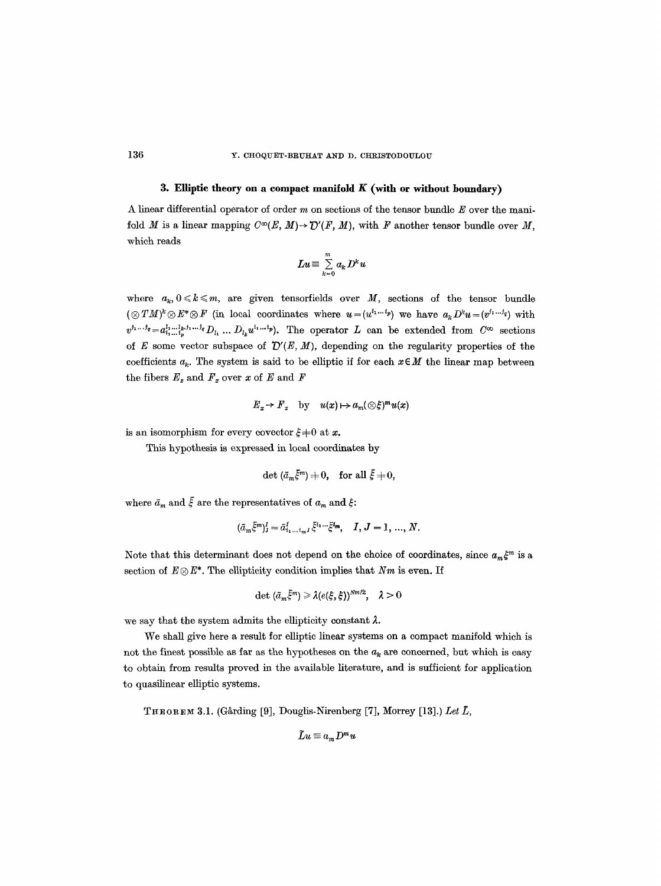#### **3. Elliptic theory on a compact manifold K (with or without boundary)**

A linear differential operator of order  $m$  on sections of the tensor bundle  $E$  over the manifold M is a linear mapping  $C^{\infty}(E, M) \to \mathcal{D}'(F, M)$ , with F another tensor bundle over M, which reads

$$
Lu \equiv \sum_{k=0}^m a_k D^k u
$$

where  $a_k, 0 \leq k \leq m$ , are given tensorfields over M, sections of the tensor bundle  $(\otimes TM)^k \otimes E^* \otimes F$  (in local coordinates where  $u=(u^{i_1...i_p})$  we have  $a_k D^k u=(v^{i_1...i_q})$  with  $v^{j_1...j_q}=a_{i_1...i_n}^{l_1...l_k,j_1...j_q}D_{l_1}...D_{l_k}u^{i_1...i_p}$ . The operator L can be extended from  $C^{\infty}$  sections of E some vector subspace of  $\mathcal{D}'(E, M)$ , depending on the regularity properties of the coefficients  $a_k$ . The system is said to be elliptic if for each  $x \in M$  the linear map between the fibers  $E_x$  and  $F_x$  over x of E and F

$$
E_x \to F_x \quad \text{by} \quad u(x) \mapsto a_m(\otimes \xi)^m u(x)
$$

is an isomorphism for every covector  $\xi = 0$  at x.

This hypothesis is expressed in local coordinates by

$$
\det\left(\tilde{a}_m\tilde{\xi}^m\right)\neq 0,\quad \text{for all }\tilde{\xi}\neq 0,
$$

where  $\bar{a}_m$  and  $\bar{\xi}$  are the representatives of  $a_m$  and  $\xi$ :

$$
(\bar{a}_{m}\bar{\xi}^{m})_{J}^{I}=\bar{a}_{i_{1}...i_{m}J}^{I}\bar{\xi}^{i_{1}...i}\bar{\xi}^{i_{m}}, \quad I, J=1, ..., N.
$$

Note that this determinant does not depend on the choice of coordinates, since  $a_m \xi^m$  is a section of  $E \otimes E^*$ . The ellipticity condition implies that *Nm* is even. If

$$
\det\,(\bar{a}_m\bar{\xi}^m)\geqslant\lambda(e(\xi,\xi))^{Nm/2},\quad\lambda>0
$$

we say that the system admits the ellipticity constant  $\lambda$ .

We shall give here a result for elliptic linear systems on a compact manifold which is not the finest possible as far as the hypotheses on the  $a_k$  are concerned, but which is easy to obtain from results proved in the available literature, and is sufficient for application to quasilinear elliptic systems.

THEOREM 3.1. (Gårding [9], Douglis-Nirenberg [7], Morrey [13].) Let  $\bar{L}$ ,

$$
\tilde{L}u\equiv a_m D^m u
$$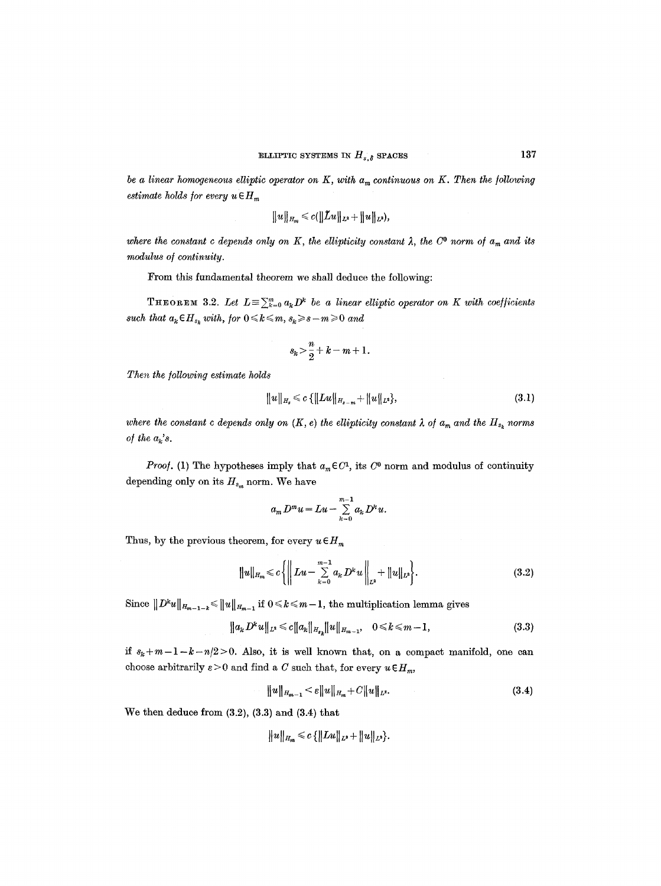*be a linear homogeneous elliptic operator on K, with*  $a_m$  *continuous on K. Then the following estimate holds for every u*  $\in$   $H_m$ 

$$
\|u\|_{H_m}\leqslant c(\|\tilde{L}u\|_{L^2}+\|u\|_{L^2}),
$$

where the constant c depends only on K, the ellipticity constant  $\lambda$ , the C<sup>o</sup> norm of  $a_m$  and its *modulus o/continuity.* 

From this fundamental theorem we shall deduce the following:

THEOREM 3.2. Let  $L = \sum_{k=0}^{m} a_k D^k$  be a linear elliptic operator on K with coefficients  $\emph{such that}~ a_k \emph{\textbf{c}}~ H_{s_k} ~ with,~\emph{for}~ 0 \leqslant k \leqslant m, s_k \! \geqslant \! s - m \! \geqslant \! 0 ~ and$ 

$$
s_k > \frac{n}{2} + k - m + 1.
$$

*Then the following estimate holds* 

$$
||u||_{H_s} \leqslant c \{||Lu||_{H_{s-m}} + ||u||_{L^2}\},
$$
\n(3.1)

where the constant c depends only on  $(K, e)$  the ellipticity constant  $\lambda$  of  $a_m$  and the  $H_{s_k}$  norms *of the*  $a_k$ 's.

*Proof.* (1) The hypotheses imply that  $a_m \in C<sup>1</sup>$ , its  $C<sup>0</sup>$  norm and modulus of continuity depending only on its  $H_{s_m}$  norm. We have

$$
a_m D^m u = Lu - \sum_{k=0}^{m-1} a_k D^k u.
$$

Thus, by the previous theorem, for every  $u \in H_m$ 

$$
||u||_{H_m} \leq c \left\{ ||\, Lu - \sum_{k=0}^{m-1} a_k D^k u \, ||_{L^2} + ||u||_{L^2} \right\}.
$$
\n(3.2)

Since  $||D^k u||_{H_{m-1-k}} \le ||u||_{H_{m-1}}$  if  $0 \le k \le m-1$ , the multiplication lemma gives

$$
||a_{k}D^{k}u||_{L^{2}} \leq c||a_{k}||_{H_{s_{k}}}||u||_{H_{m-1}}, \quad 0 \leq k \leq m-1,
$$
\n(3.3)

*if*  $s_k + m - 1 - k - n/2 > 0$ . Also, it is well known that, on a compact manifold, one can choose arbitrarily  $\varepsilon > 0$  and find a C such that, for every  $u \in H_m$ ,

$$
||u||_{H_{m-1}} < \varepsilon ||u||_{H_m} + C||u||_{L^2}.
$$
\n(3.4)

We then deduce from (3.2), (3.3) and (3.4) that

$$
||u||_{H_m} \leqslant c \{||Lu||_{L^2} + ||u||_{L^2}\}.
$$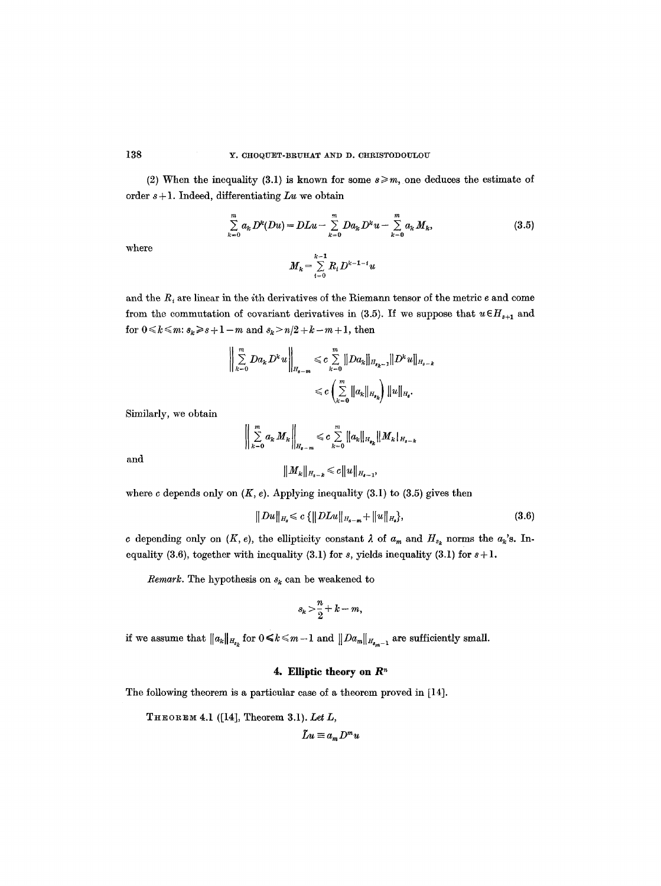(2) When the inequality (3.1) is known for some  $s \ge m$ , one deduces the estimate of order s + 1. Indeed, differentiating *Lu* we obtain

$$
\sum_{k=0}^{m} a_k D^k (Du) = DLu - \sum_{k=0}^{m} Da_k D^k u - \sum_{k=0}^{m} a_k M_k,
$$
\n(3.5)

where

$$
M_k\!=\!\sum\limits_{i=0}^{k-1}R_iD^{k-1-i}u
$$

and the  $R_i$  are linear in the ith derivatives of the Riemann tensor of the metric  $e$  and come from the commutation of covariant derivatives in (3.5). If we suppose that  $u \in H_{s+1}$  and for  $0\!\leqslant\!k\!\leqslant\!m;$   $s_{\!k}\!\geqslant\!s\!+\!1-m$  and  $s_{\!k}\!>\!n/2\!+\!k\!-\!m\!+\!1,$  then

$$
\left\| \sum_{k=0}^{m} Da_k D^k u \right\|_{H_{s-m}} \leqslant c \sum_{k=0}^{m} \left\| Da_k \right\|_{H_{s_{k-1}}} \| D^k u \right\|_{H_{s-k}}
$$
  

$$
\leqslant c \left( \sum_{k=0}^{m} \left\| a_k \right\|_{H_{s_k}} \right) \| u \|_{H_{s}}.
$$

Similarly, we obtain

$$
\left\| \sum_{k=0}^{m} a_k M_k \right\|_{H_{s-m}} \leqslant c \sum_{k=0}^{m} \|a_k\|_{H_{s_k}} \|M_k\|_{H_{s-k}}
$$

$$
\|M_k\|_{H_{s-k}} \leqslant c \|u\|_{H_{s-1}},
$$

and

where 
$$
c
$$
 depends only on  $(K, e)$ . Applying inequality (3.1) to (3.5) gives then

$$
||Du||_{H_s} \leq c \{ ||DLu||_{H_{s-m}} + ||u||_{H_s} \},
$$
\n(3.6)

c depending only on  $(K, e)$ , the ellipticity constant  $\lambda$  of  $a_m$  and  $H_{s_k}$  norms the  $a_k$ 's. Inequality (3.6), together with inequality (3.1) for  $s$ , yields inequality (3.1) for  $s+1$ .

*Remark.* The hypothesis on  $s_k$  can be weakened to

$$
s_k > \frac{n}{2} + k - m,
$$

if we assume that  $||a_k||_{H_{s_k}}$  for  $0 \le k \le m-1$  and  $||Da_m||_{H_{s_m-1}}$  are sufficiently small.

# **4. Elliptic theory on**  $\mathbb{R}^n$

The following theorem is a particular case of a theorem proved in [14].

THEOREM 4.1 ([14], Theorem 3.1). *Let L,* 

$$
Lu \equiv a_m D^m u
$$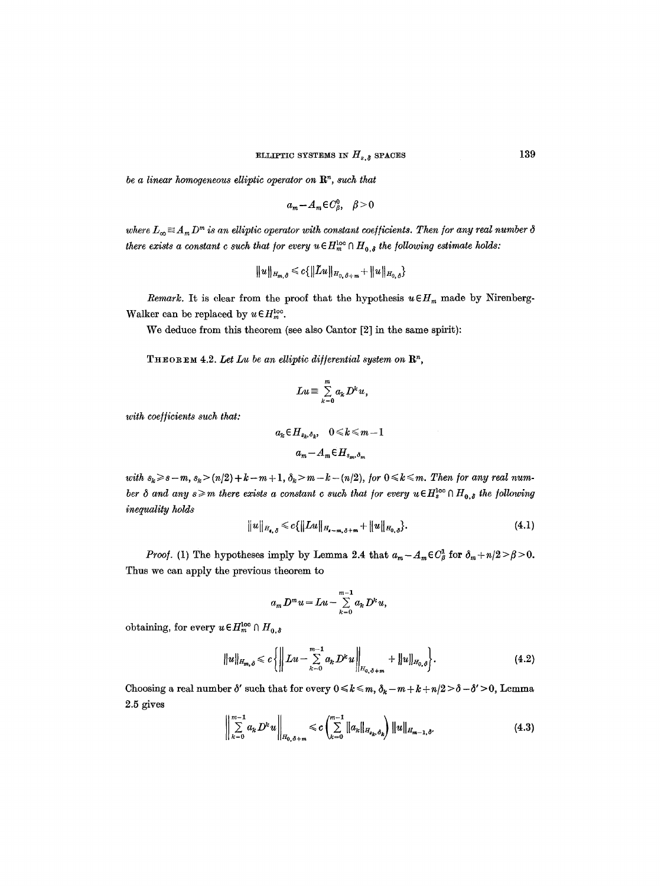*be a linear homogeneous elliptic operator on*  $\mathbb{R}^n$ , such that

$$
a_m - A_m \in C_\beta^0, \quad \beta > 0
$$

where  $L_{\infty} \equiv A_m D^m$  is an elliptic operator with constant coefficients. Then for any real number  $\delta$ *there exists a constant c such that for every*  $u \in H_{m}^{\text{loc}} \cap H_{0,\delta}$  *the following estimate holds:* 

$$
\|u\|_{H_{m,\delta}} \leqslant c\{\|\tilde{L}u\|_{H_{0,\delta+m}}+\|u\|_{H_{0,\delta}}\}
$$

*Remark.* It is clear from the proof that the hypothesis  $u \in H_m$  made by Nirenberg-Walker can be replaced by  $u \in H_m^{\text{loc}}$ .

We deduce from this theorem (see also Cantor [2] in the same spirit):

**THEOREM 4.2. Let Lu** be an elliptic differential system on  $\mathbb{R}^n$ ,

$$
Lu \equiv \sum_{k=0}^m a_k D^k u,
$$

*with coefficients such that:* 

$$
a_k \in H_{s_k, \delta_k}, \quad 0 \leq k \leq m-1
$$

$$
a_m - A_m \in H_{s_m, \delta_m}
$$

with  $s_k \geq s-m$ ,  $s_k > (n/2) + k-m+1$ ,  $\delta_k > m-k-(n/2)$ , for  $0 \leq k \leq m$ . Then for any real num*ber*  $\delta$  *and any s*  $\geq$ *m there exists a constant c such that for every u* $\in H_s^{\text{loc}} \cap H_{0,\delta}$  *the following inequality holds* 

$$
||u||_{H_{\mathbf{a},\,\delta}} \leqslant c\{||Lu||_{H_{\mathbf{a}-m,\,\delta+m}} + ||u||_{H_{0,\,\delta}}\}.
$$
\n(4.1)

*Proof.* (1) The hypotheses imply by Lemma 2.4 that  $a_m - A_m \in C_{\beta}^1$  for  $\delta_m + n/2 > \beta > 0$ . Thus we can apply the previous theorem to

$$
a_m D^m u = Lu - \sum_{k=0}^{m-1} a_k D^k u,
$$

obtaining, for every  $u \in H_m^{\text{loc}} \cap H_{0,\delta}$ 

$$
||u||_{H_{m,\delta}} \leq c \left\{ ||\left\| Lu - \sum_{k=0}^{m-1} a_k D^k u \right\|_{H_{0,\delta+m}} + ||u||_{H_{0,\delta}} \right\}.
$$
 (4.2)

Choosing a real number  $\delta'$  such that for every  $0 \le k \le m$ ,  $\delta_k - m + k + n/2 > \delta - \delta' > 0$ , Lemma 2.5 gives

$$
\left\| \sum_{k=0}^{m-1} a_k D^k u \right\|_{H_{0,\delta+m}} \leqslant c \left( \sum_{k=0}^{m-1} \| a_k \|_{H_{s_k,\delta_k}} \right) \| u \|_{H_{m-1,\delta'}} \tag{4.3}
$$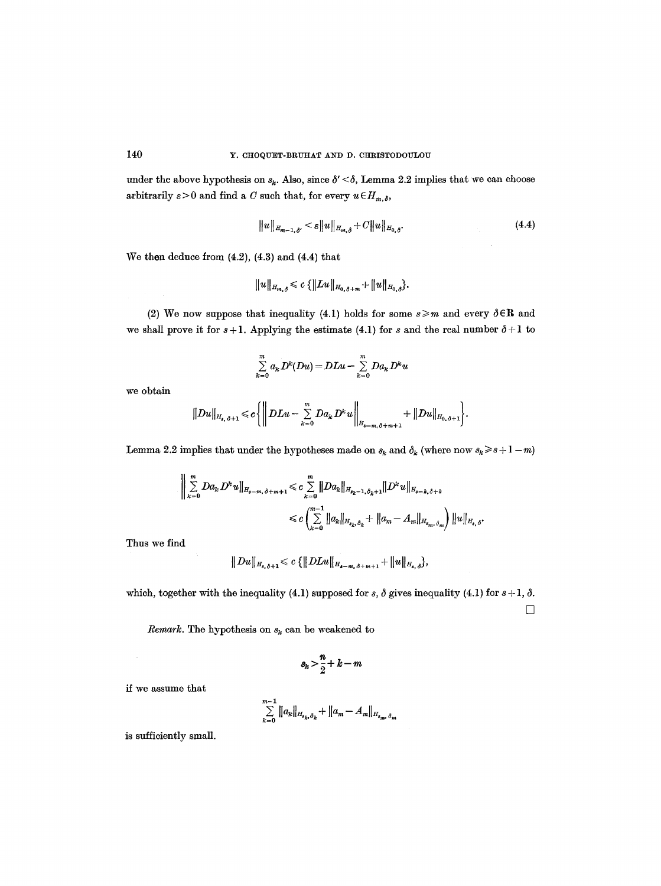under the above hypothesis on  $s_k$ . Also, since  $\delta' < \delta$ , Lemma 2.2 implies that we can choose arbitrarily  $\varepsilon > 0$  and find a C such that, for every  $u \in H_{m,\delta}$ ,

$$
||u||_{H_{m-1,\delta'}} < \varepsilon ||u||_{H_{m,\delta}} + C||u||_{H_{0,\delta}}.
$$
\n(4.4)

We then deduce from  $(4.2)$ ,  $(4.3)$  and  $(4.4)$  that

$$
||u||_{H_{m,\delta}} \leqslant c \{||Lu||_{H_{0,\delta+m}} + ||u||_{H_{0,\delta}}\}.
$$

(2) We now suppose that inequality (4.1) holds for some  $s \geq m$  and every  $\delta \in \mathbb{R}$  and we shall prove it for  $s + 1$ . Applying the estimate (4.1) for s and the real number  $\delta + 1$  to

$$
\sum_{k=0}^m a_k D^k(Du) = DLu - \sum_{k=0}^m Da_k D^k u
$$

we obtain

$$
||Du||_{H_{s,\delta+1}} \leqslant c \left\{ \left\| DLu - \sum_{k=0}^{m} Da_k D^k u \right\|_{H_{s-m,\delta+m+1}} + ||Du||_{H_{0,\delta+1}} \right\}.
$$

Lemma 2.2 implies that under the hypotheses made on  $s_k$  and  $\delta_k$  (where now  $s_k \geq s + 1 - m$ )

$$
\begin{aligned} \Big\| \sum_{k=0}^{m} D a_k D^k u \Big\|_{H_{s-m,\delta+m+1}} &\leq c \sum_{k=0}^{m} \| D a_k \|_{H_{s_k-1,\delta_k+1}} \| D^k u \|_{H_{s-k,\delta+k}} \\ &\leq c \left( \sum_{k=0}^{m-1} \| a_k \|_{H_{s_k,\delta_k}} + \| a_m - A_m \|_{H_{s_m,\delta_m}} \right) \| u \|_{H_{s,\delta}}. \end{aligned}
$$

Thus we find

$$
||Du||_{H_{s,\delta+1}} \leqslant c \{||DLu||_{H_{s-m,\delta+m+1}} + ||u||_{H_{s,\delta}}\},\,
$$

which, together with the inequality (4.1) supposed for s,  $\delta$  gives inequality (4.1) for  $s + 1$ ,  $\delta$ .

 $\Box$ 

*Remark*. The hypothesis on  $s_k$  can be weakened to

$$
s_k > \frac{n}{2} + k - m
$$

if we assume that

$$
\sum_{k=0}^{m-1} ||a_k||_{H_{s_k,\delta_k}} + ||a_m - A_m||_{H_{s_m,\delta_m}}
$$

is sufficiently small.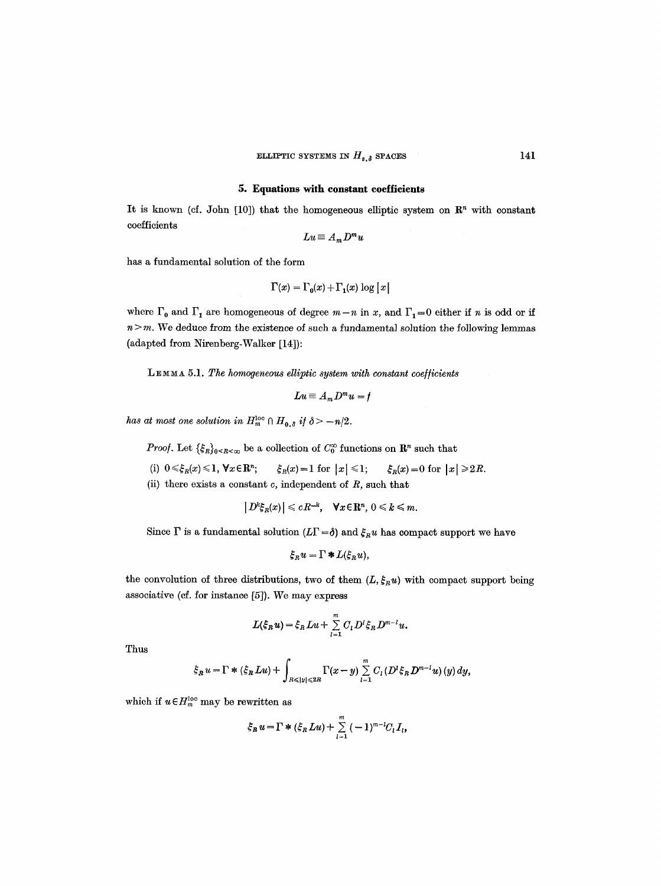#### **5. Equations with constant coeIiicients**

It is known (cf. John [10]) that the homogeneous elliptic system on  $\mathbb{R}^n$  with constant coefficients

$$
Lu \equiv A_m D^m u
$$

has a fundamental solution of the form

$$
\Gamma(x)=\Gamma_0(x)+\Gamma_1(x)\log|x|
$$

where  $\Gamma_0$  and  $\Gamma_1$  are homogeneous of degree  $m-n$  in x, and  $\Gamma_1=0$  either if n is odd or if  $n > m$ . We deduce from the existence of such a fundamental solution the following lemmas (adapted from Nirenberg-Walker [14]):

LEMMA 5.1. The homogeneous elliptic system with constant coefficients

$$
Lu \equiv A_m D^m u = f
$$

*has at most one solution in*  $H_m^{\text{loc}} \cap H_{0,\delta}$  *if*  $\delta > -n/2$ .

*Proof.* Let  $\{\xi_R\}_{0\leq R\leq\infty}$  be a collection of  $C_0^{\infty}$  functions on  $\mathbb{R}^n$  such that

(i)  $0 \leq \xi_R(x) \leq 1$ ,  $\forall x \in \mathbb{R}^n$ ;  $\qquad \xi_R(x) = 1$  for  $|x| \leq 1$ ;  $\qquad \xi_R(x) = 0$  for  $|x| \geq 2R$ .

(ii) there exists a constant  $c$ , independent of  $R$ , such that

 $|D^k \xi_R(x)| \leqslant cR^{-k}, \quad \forall x \in \mathbb{R}^n, \ 0 \leqslant k \leqslant m.$ 

Since  $\Gamma$  is a fundamental solution  $(L\Gamma = \delta)$  and  $\xi_R u$  has compact support we have

$$
\xi_R u = \Gamma * L(\xi_R u),
$$

the convolution of three distributions, two of them  $(L, \xi_R u)$  with compact support being associative (of. for instance [5]). We may express

$$
L(\xi_R u)=\xi_R Lu+\sum_{l=1}^m C_l D^l \xi_R D^{m-l} u.
$$

Thus

$$
\xi_R u = \Gamma * (\xi_R Lu) + \int_{R \leq |y| \leq 2R} \Gamma(x-y) \sum_{l=1}^m C_l (D^l \xi_R D^{m-l} u) (y) dy,
$$

which if  $u \in H_m^{\text{loc}}$  may be rewritten as

$$
\xi_R u = \Gamma * (\xi_R Lu) + \sum_{l=1}^m (-1)^{m-l} C_l I_l,
$$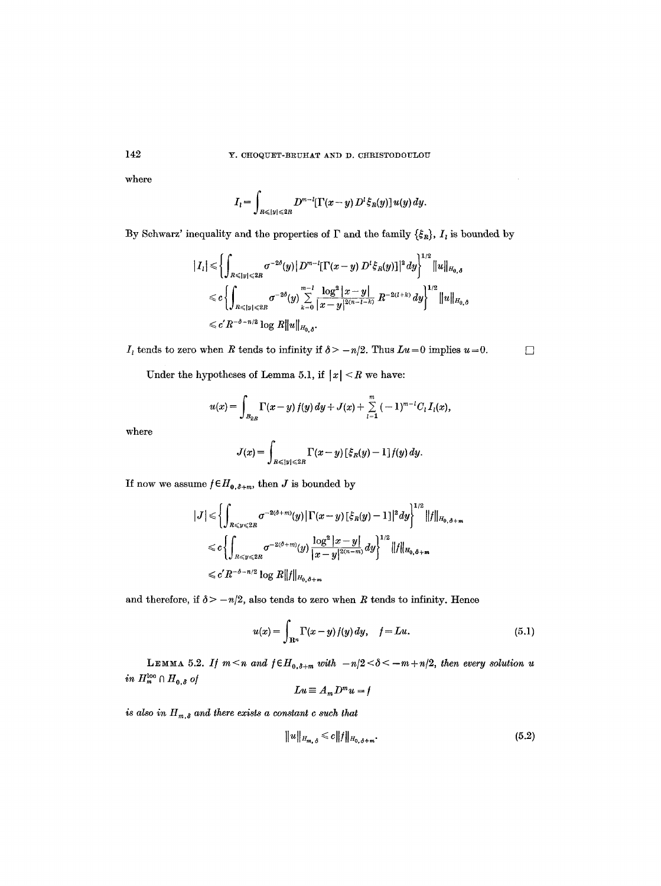where

$$
I_{l}=\int_{R\leqslant |y|\leqslant 2R}D^{m-l}[\Gamma(x-y)\,D^{l}\xi_{R}(y)]\,u(y)\,dy.
$$

By Schwarz' inequality and the properties of  $\Gamma$  and the family  $\{\xi_R\}$ ,  $I_i$  is bounded by

$$
\begin{aligned}\n|I_{l}| &\leq \left\{ \int_{R\leq |y|\leqslant 2R} \sigma^{-2\delta}(y) |D^{m-l}[\Gamma(x-y) D^{l}\xi_{R}(y)]|^{2} dy \right\}^{1/2} \|u\|_{H_{0,\delta}} \\
&\leqslant c \left\{ \int_{R\leqslant |y|\leqslant 2R} \sigma^{-2\delta}(y) \sum_{k=0}^{m-l} \frac{\log^{2} |x-y|}{|x-y|^{2(n-l-k)}} R^{-2(l+k)} dy \right\}^{1/2} \|u\|_{H_{0,\delta}} \\
&\leqslant c' R^{-\delta-n/2} \log R \|u\|_{H_{0,\delta}}.\n\end{aligned}
$$

 $I_i$  tends to zero when R tends to infinity if  $\delta > -n/2$ . Thus  $Lu = 0$  implies  $u = 0$ .

Under the hypotheses of Lemma 5.1, if  $|x| < R$  we have:

$$
u(x) = \int_{B_{2R}} \Gamma(x-y) f(y) dy + J(x) + \sum_{l=1}^{m} (-1)^{m-l} C_l I_l(x),
$$

where

$$
J(x) = \int_{R \le |y| \le 2R} \Gamma(x - y) \left[ \xi_R(y) - 1 \right] f(y) \, dy.
$$

If now we assume  $f\!\in\!H_{0,\delta+m},$  then  $J$  is bounded by

$$
\begin{aligned} |J| &\leq \left\{ \int_{R\leq y\leq 2R} \sigma^{-2(\delta+m)}(y) \left| \Gamma(x-y) \left[ \xi_R(y) - 1 \right] \right|^2 dy \right\}^{1/2} ||f||_{H_{0,\delta+m}} \\ &\leq c \left\{ \int_{R\leq y\leq 2R} \sigma^{-2(\delta+m)}(y) \frac{\log^2|x-y|}{|x-y|^{2(n-m)}} dy \right\}^{1/2} ||f||_{H_{0,\delta+m}} \\ &\leq c'R^{-\delta-n/2} \log R ||f||_{H_{0,\delta+m}} \end{aligned}
$$

and therefore, if  $\delta$  >  $-n/2$ , also tends to zero when R tends to infinity. Hence

$$
u(x) = \int_{\mathbf{R}^n} \Gamma(x - y) f(y) \, dy, \quad f = Lu.
$$
 (5.1)

LEMMA 5.2. If  $m < n$  and  $f \in H_{0,\delta+m}$  with  $-n/2 < \delta < -m+n/2$ , then every solution u  $in\ H_m^{\text{loc}}\cap H_{0,\delta}$  of

$$
Lu \equiv A_m D^m u = f
$$

*is also in*  $H_{m,\delta}$  and there exists a constant c such that

$$
||u||_{H_{m,\delta}} \leq c||f||_{H_{0,\delta+m}}.\tag{5.2}
$$

142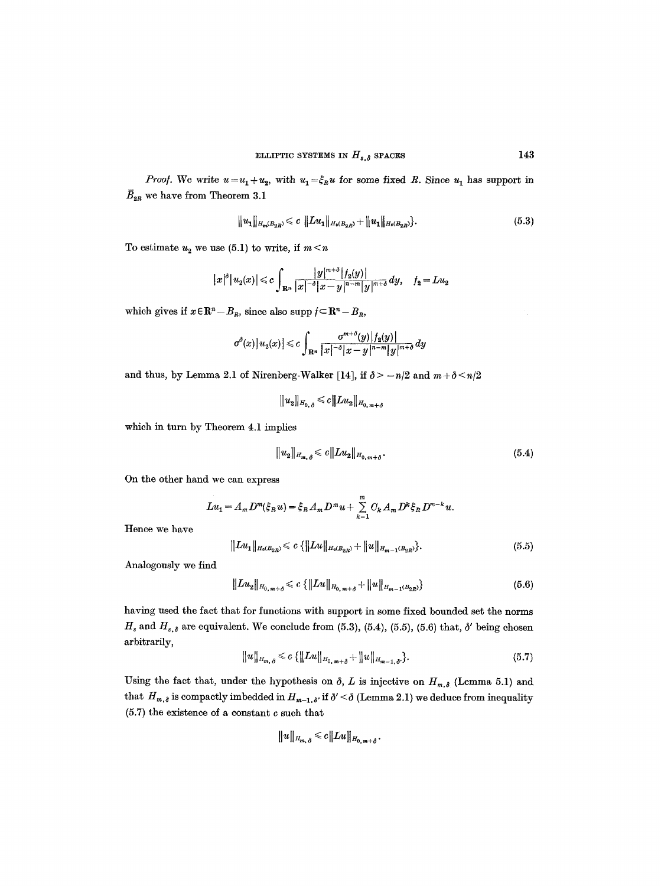*Proof.* We write  $u=u_1+u_2$ , with  $u_1=\xi_Ru$  for some fixed R. Since  $u_1$  has support in  $\bar{B}_{2R}$  we have from Theorem 3.1

$$
||u_1||_{H_m(B_{2R})} \leqslant c ||Lu_1||_{H_0(B_{2R})} + ||u_1||_{H_0(B_{2R})}.
$$
\n
$$
(5.3)
$$

To estimate  $u_2$  we use (5.1) to write, if  $m < n$ 

$$
|x|^{\delta}|u_2(x)| \leqslant c \int_{\mathbf{R}^n} \frac{|y|^{m+\delta}|f_2(y)|}{|x|^{-\delta}|x-y|^{n-m}|y|^{m+\delta}} dy, \quad f_2 = Lu_2
$$

which gives if  $x \in \mathbb{R}^n - B_{\mathbb{R}}$ , since also supp  $f \subset \mathbb{R}^n - B_{\mathbb{R}}$ ,

$$
\sigma^{\delta}(x)\big|u_2(x)\big|\leqslant c\int_{\mathbf{R}^n}\frac{\sigma^{m+\delta}(y)\big|f_2(y)\big|}{|x|^{-\delta}|x-y|^{n-m}|y|^{m+\delta}}\,dy
$$

and thus, by Lemma 2.1 of Nirenberg-Walker [14], if  $\delta$  >  $-n/2$  and  $m+\delta \le n/2$ 

 $||u_2||_{H_0} \leq c||Lu_2||_{H_0}$ <sub>m+8</sub>

which in turn by Theorem 4.1 implies

$$
||u_2||_{H_{m,\delta}} \leqslant c||Lu_2||_{H_{0,m+\delta}}.\tag{5.4}
$$

On the other hand we can express

$$
Lu_1 = A_m D^m(\xi_R u) = \xi_R A_m D^m u + \sum_{k=1}^m C_k A_m D^k \xi_R D^{m-k} u.
$$

Hence we have

$$
|Lu_1||_{H_0(B_{2R})} \leqslant c \{ ||Lu||_{H_0(B_{2R})} + ||u||_{H_{m-1}(B_{2R})} \}.
$$
\n
$$
(5.5)
$$

Analogously we find

$$
||Lu_2||_{H_{0,m+\delta}} \leqslant c \{ ||Lu||_{H_{0,m+\delta}} + ||u||_{H_{m-1}(B_{2R})} \}
$$
\n(5.6)

having used the fact that for functions with support in some fixed bounded set the norms  $H_s$  and  $H_{s,\delta}$  are equivalent. We conclude from (5.3), (5.4), (5.5), (5.6) that,  $\delta'$  being chosen arbitrarily,

$$
||u||_{H_{m,\delta}} \leqslant c \{||Lu||_{H_{0,m+\delta}} + ||u||_{H_{m-1,\delta'}}\}.
$$
\n(5.7)

Using the fact that, under the hypothesis on  $\delta$ , L is injective on  $H_{m,\delta}$  (Lemma 5.1) and that  $H_{m,\delta}$  is compactly imbedded in  $H_{m-1,\delta'}$  if  $\delta' < \delta$  (Lemma 2.1) we deduce from inequality (5.7) the existence of a constant c such that

$$
||u||_{H_{m,\delta}} \leqslant c||Lu||_{H_{0,m+\delta}}.
$$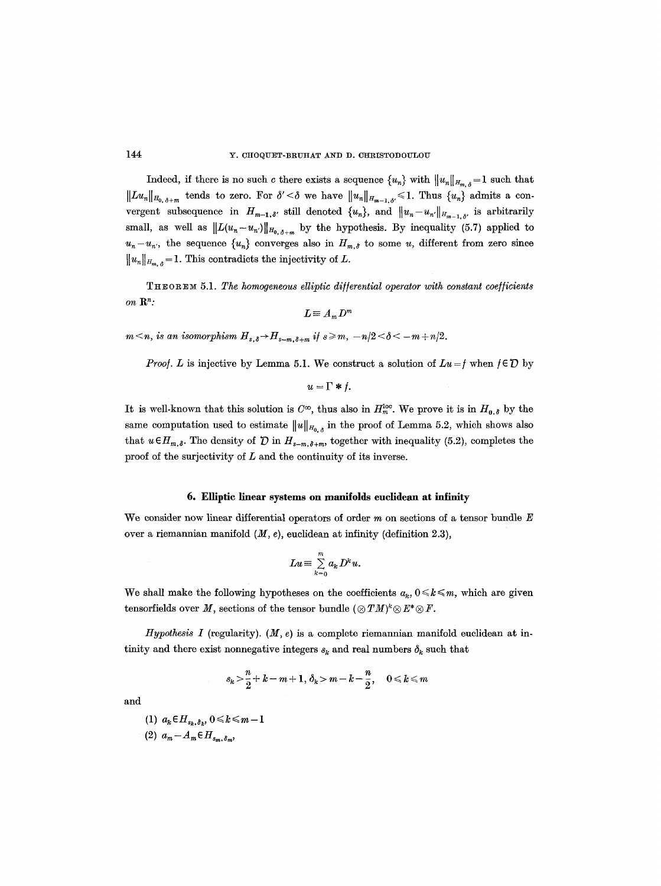Indeed, if there is no such c there exists a sequence  $\{u_n\}$  with  $||u_n||_{H_{m,\delta}} = 1$  such that  $||Lu_n||_{H_{0,\delta+m}}$  tends to zero. For  $\delta' < \delta$  we have  $||u_n||_{H_{m-1,\delta'}} \leq 1$ . Thus  $\{u_n\}$  admits a convergent subsequence in  $H_{m-1,\delta'}$  still denoted  $\{u_n\}$ , and  $||u_n-u_n||_{H_{m-1,\delta'}}$  is arbitrarily small, as well as  $||L(u_n-u_{n'})||_{H_{0,\delta+m}}$  by the hypothesis. By inequality (5.7) applied to  $u_n-u_n$ , the sequence  ${u_n}$  converges also in  $H_{m,\delta}$  to some u, different from zero since  $||u_n||_{H_{m,\delta}} = 1$ . This contradicts the injectivity of L.

THEOREM 5.1. The homogeneous elliptic differential operator with constant coefficients  $\mathbf{on} \ \mathbf{R}^n$ :

$$
L\!\equiv A_m D^m
$$

 $m \leq n$ , is an isomorphism  $H_{s,\delta} \to H_{s-m,\delta+m}$  if  $s \geq m$ ,  $-n/2 < \delta < -m+n/2$ .

*Proof. L* is injective by Lemma 5.1. We construct a solution of  $Lu = f$  when  $f \in \mathcal{D}$  by

 $u=\Gamma*f$ .

It is well-known that this solution is  $C^{\infty}$ , thus also in  $H_{m}^{loc}$ . We prove it is in  $H_{0,\delta}$  by the same computation used to estimate  $||u||_{H_{0,\delta}}$  in the proof of Lemma 5.2, which shows also that  $u \in H_{m,\delta}$ . The density of  $\mathcal D$  in  $H_{s-m,\delta+m}$ , together with inequality (5.2), completes the proof of the surjectivity of  $L$  and the continuity of its inverse.

# **6. Elliptic linear systems on manifolds euclidean at infinity**

We consider now linear differential operators of order  $m$  on sections of a tensor bundle  $E$ over a riemannian manifold *(M, e),* euclidean at infinity (definition 2.3),

$$
Lu \equiv \sum_{k=0}^m a_k D^k u.
$$

We shall make the following hypotheses on the coefficients  $a_k, 0 \leq k \leq m$ , which are given tensorfields over M, sections of the tensor bundle  $(\otimes TM)^k \otimes E^* \otimes F$ .

*Hypothesis I* (regularity).  $(M, e)$  is a complete riemannian manifold euclidean at intinity and there exist nonnegative integers  $s_k$  and real numbers  $\delta_k$  such that

$$
s_k > \frac{n}{2} + k - m + 1, \, \delta_k > m - k - \frac{n}{2}, \quad 0 \leq k \leq m
$$

and

$$
\begin{aligned} (1) \ \ a_k \in H_{s_k, \delta_k}, \ 0 \le k \le m-1\\ (2) \ \ a_m - A_m \in H_{s_m, \delta_m}, \end{aligned}
$$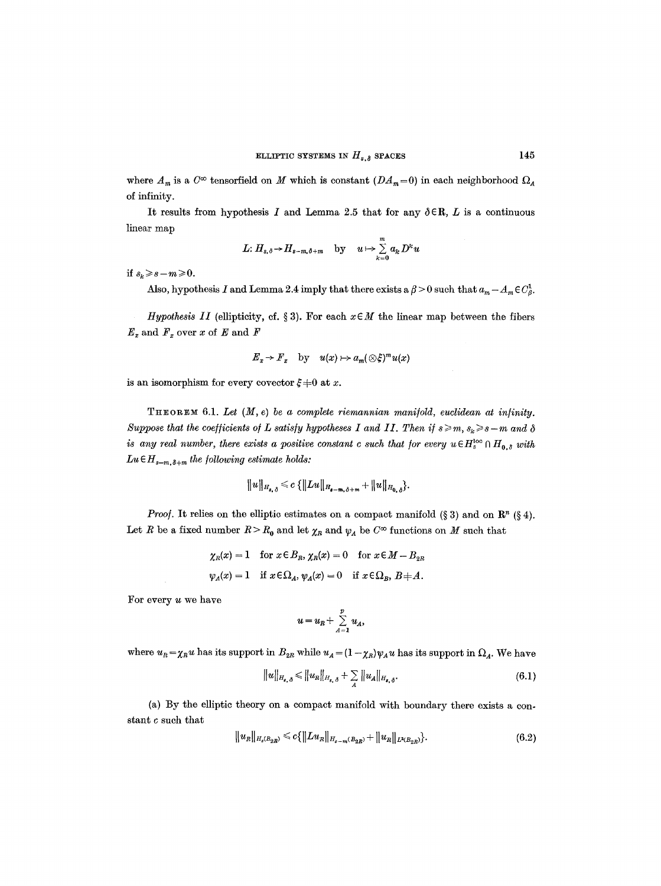where  $A_m$  is a  $C^{\infty}$  tensorfield on M which is constant  $(DA_m=0)$  in each neighborhood  $\Omega_A$ of infinity.

It results from hypothesis I and Lemma 2.5 that for any  $\delta \in \mathbb{R}$ , L is a continuous linear map

L: 
$$
H_{s,\delta} \to H_{s-m,\delta+m}
$$
 by  $u \mapsto \sum_{k=0}^{m} a_k D^k u$ 

*if*  $s_k \ge s-m \ge 0$ .

Also, hypothesis I and Lemma 2.4 imply that there exists a  $\beta > 0$  such that  $a_m - A_m \in C_{\beta}^1$ .

*Hypothesis II* (ellipticity, cf. § 3). For each  $x \in M$  the linear map between the fibers  $E_x$  and  $F_x$  over x of E and F

$$
E_x \to F_x
$$
 by  $u(x) \mapsto a_m(\otimes \xi)^m u(x)$ 

is an isomorphism for every covector  $\xi \neq 0$  at x.

THEOREM 6.1. *Let* (M, e) *be a complete riemannian mani/old, euclidean at in/inity. Suppose that the coefficients of L satisfy hypotheses I and II. Then if*  $s \geq m$ ,  $s_k \geq s-m$  and  $\delta$ *is any real number, there exists a positive constant c such that for every u*  $\in H_s^{loc} \cap H_{0,\delta}$  *with*  $Lu \in H_{s-m,\delta+m}$  the following estimate holds:

$$
||u||_{H_{s,\delta}} \leqslant c \{||Lu||_{H_{s-m,\delta+m}} + ||u||_{H_{0,\delta}}\}.
$$

*Proof.* It relies on the elliptic estimates on a compact manifold (§ 3) and on  $\mathbb{R}^n$  (§ 4). Let R be a fixed number  $R > R_0$  and let  $\chi_R$  and  $\psi_A$  be  $C^{\infty}$  functions on M such that

$$
\chi_R(x) = 1
$$
 for  $x \in B_R$ ,  $\chi_R(x) = 0$  for  $x \in M - B_{2R}$   
\n $\psi_A(x) = 1$  if  $x \in \Omega_A$ ,  $\psi_A(x) = 0$  if  $x \in \Omega_B$ ,  $B \neq A$ .

For every u we have

$$
u=u_R+\sum_{A=1}^p u_A,
$$

where  $u_R = \chi_R u$  has its support in  $B_{2R}$  while  $u_A = (1 - \chi_R)\psi_A u$  has its support in  $\Omega_A$ . We have

$$
||u||_{H_{s,\delta}} \leq ||u_R||_{H_{s,\delta}} + \sum_{A} ||u_A||_{H_{s,\delta}}.
$$
 (6.1)

(a) By the elliptic theory on a compact manifold with boundary there exists a constant c such that

$$
||u_R||_{H_s(B_{2R})} \leq c \{||Lu_R||_{H_{s-m}(B_{2R})} + ||u_R||_{L^2(B_{2R})}\}.
$$
\n(6.2)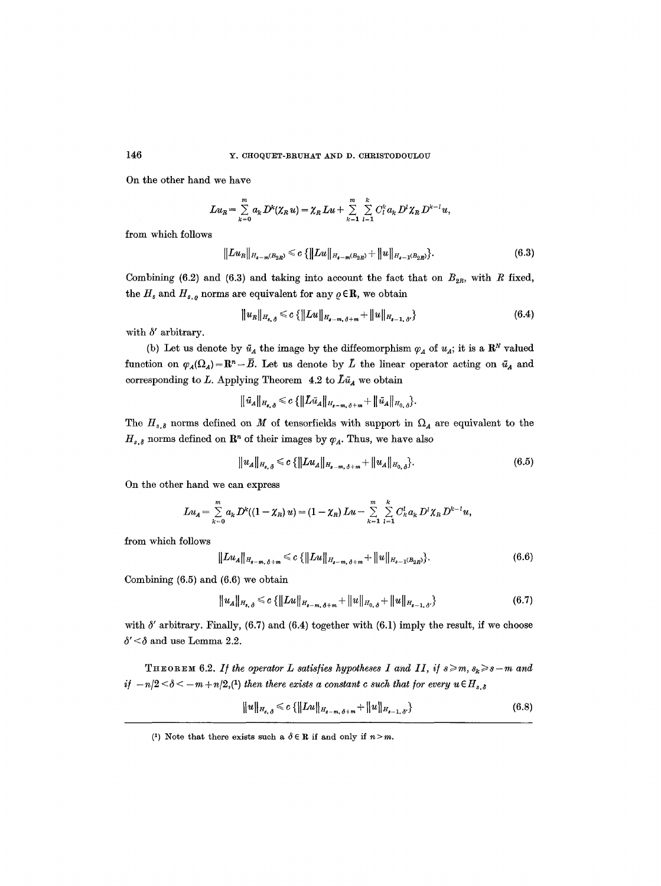On the other hand we have

$$
L u_R = \sum_{k=0}^m a_k D^k (\chi_R u) = \chi_R L u + \sum_{k=1}^m \sum_{l=1}^k C_l^k a_k D^l \chi_R D^{k-l} u,
$$

from which follows

$$
||Lu_{R}||_{H_{s-m}(B_{2R})} \leq c \{||Lu||_{H_{s-m}(B_{2R})} + ||u||_{H_{s-1}(B_{2R})}\}.
$$
\n(6.3)

Combining (6.2) and (6.3) and taking into account the fact that on  $B_{2R}$ , with R fixed, the  $H_s$  and  $H_{s,\rho}$  norms are equivalent for any  $\rho \in \mathbb{R}$ , we obtain

$$
||u_R||_{H_{s,\delta}} \leqslant c \{||Lu||_{H_{s-m,\delta+m}} + ||u||_{H_{s-1,\delta'}}\}
$$
\n(6.4)

with  $\delta'$  arbitrary.

(b) Let us denote by  $\bar{u}_A$  the image by the diffeomorphism  $\varphi_A$  of  $u_A$ ; it is a  $\mathbb{R}^N$  valued function on  $\varphi_A(\Omega_A)=\mathbb{R}^n-\bar{B}$ . Let us denote by  $\bar{L}$  the linear operator acting on  $\bar{u}_A$  and corresponding to L. Applying Theorem 4.2 to  $\tilde{L}\tilde{u}_A$  we obtain

$$
\|\bar{u}_A\|_{H_{s,\delta}} \leqslant c \{\|L\bar{u}_A\|_{H_{s-m,\delta+m}}+\|\bar{u}_A\|_{H_{0,\delta}}\}.
$$

The  $H_{s,\delta}$  norms defined on M of tensorfields with support in  $\Omega_A$  are equivalent to the  $H_{s,\delta}$  norms defined on  $\mathbb{R}^n$  of their images by  $\varphi_A$ . Thus, we have also

$$
||u_A||_{H_{s,\delta}} \leqslant c \{ ||Lu_A||_{H_{s-m,\delta+m}} + ||u_A||_{H_{0,\delta}} \}.
$$
\n(6.5)

On the other hand we can express

$$
Lu_A = \sum_{k=0}^m a_k D^k((1-\chi_R)u) = (1-\chi_R) Lu - \sum_{k=1}^m \sum_{l=1}^k C_k^l a_k D^l \chi_R D^{k-l} u,
$$

from which follows

$$
||Lu_{A}||_{H_{s-m,\delta+m}} \leq c \{ ||Lu||_{H_{s-m,\delta+m}} + ||u||_{H_{s-1}(B_{2R})} \}.
$$
\n(6.6)

Combining (6.5) and (6.6) we obtain

$$
||u_A||_{H_{s,\delta}} \leq c \{ ||Lu||_{H_{s-m,\delta+m}} + ||u||_{H_{0,\delta}} + ||u||_{H_{s-1,\delta'}} \}
$$
(6.7)

with  $\delta'$  arbitrary. Finally, (6.7) and (6.4) together with (6.1) imply the result, if we choose  $\delta' < \delta$  and use Lemma 2.2.

THEOREM 6.2. If the operator L satisfies hypotheses I and II, if  $s \ge m$ ,  $s_k \ge s-m$  and *if*  $-n/2 < \delta < -m+n/2$ , *(1)* then there exists a constant c such that for every  $u \in H_{s,\delta}$ 

$$
||u||_{H_{s,\delta}} \leqslant c \{||Lu||_{H_{s-m,\delta+m}} + ||u||_{H_{s-1,\delta}}\}
$$
\n(6.8)

<sup>(1)</sup> Note that there exists such a  $\delta \in \mathbb{R}$  if and only if  $n > m$ .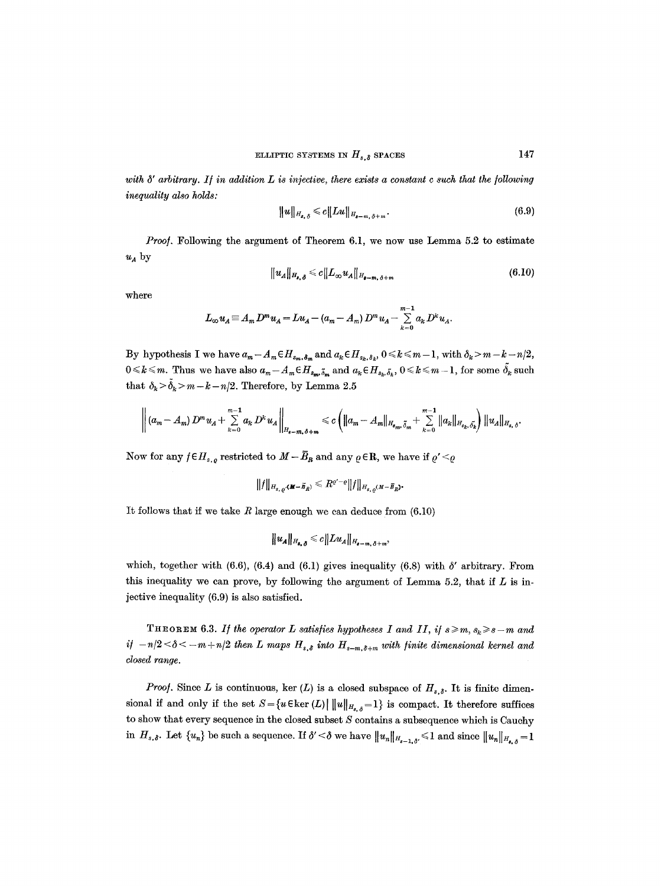with  $\delta'$  arbitrary. If in addition  $L$  is injective, there exists a constant c such that the following *inequality also holds:* 

$$
||u||_{H_{s,\delta}} \leq c||Lu||_{H_{s-m,\delta+m}}.\tag{6.9}
$$

 $u_A$  by *Proof.* Following the argument of Theorem 6.1, we now use Lemma 5.2 to estimate

$$
||u_A||_{H_{\boldsymbol{s},\boldsymbol{\delta}}}\leqslant c||L_\infty u_A||_{H_{\boldsymbol{s}-m,\boldsymbol{\delta}+m}}\tag{6.10}
$$

where

$$
L_{\infty} u_A \equiv A_m D^m u_A = L u_A - (a_m - A_m) D^m u_A - \sum_{k=0}^{m-1} a_k D^k u_A.
$$

By hypothesis I we have  $a_m - A_m \in H_{s_m, \delta_m}$  and  $a_k \in H_{s_k, \delta_k}$ ,  $0 \le k \le m - 1$ , with  $\delta_k > m - k - n/2$ ,  $0 \le k \le m$ . Thus we have also  $a_m - A_m \in H_{s_m,\tilde{\delta}_m}$  and  $a_k \in H_{s_k,\tilde{\delta}_k}$ ,  $0 \le k \le m-1$ , for some  $\tilde{\delta}_k$  such that  $\delta_k > \tilde{\delta}_k > m - k - n/2$ . Therefore, by Lemma 2.5

$$
\left\| (a_m - A_m) D^m u_A + \sum_{k=0}^{m-1} a_k D^k u_A \right\|_{H_{\delta - m, \delta + m}} \leq c \left( \|a_m - A_m\|_{H_{\delta_m, \delta_m}} + \sum_{k=0}^{m-1} \|a_k\|_{H_{\delta_k, \delta_k}} \right) \|u_A\|_{H_{\delta, \delta}}.
$$

Now for any  $f \in H_{s,q}$  restricted to  $M-\bar{B}_R$  and any  $\varrho \in \mathbb{R}$ , we have if  $\varrho' < \varrho$ 

$$
||f||_{H_{s,q}(\mathbf{M}-\vec{B}_R)} \leq R^{\varrho'-\varrho}||f||_{H_{s,q}(\mathbf{M}-\vec{B}_R)}.
$$

It follows that if we take  $R$  large enough we can deduce from  $(6.10)$ 

$$
||u_A||_{H_{s,\delta}} \leq c||Lu_A||_{H_{s-m,\delta+m}},
$$

which, together with (6.6), (6.4) and (6.1) gives inequality (6.8) with  $\delta'$  arbitrary. From this inequality we can prove, by following the argument of Lemma 5.2, that if  $L$  is injective inequality (6.9) is also satisfied.

THEOREM 6.3. If the operator L satisfies hypotheses I and II, if  $s \geq m$ ,  $s_k \geq s-m$  and *if*  $-n/2 < \delta < -m + n/2$  then L maps  $H_{s,\delta}$  into  $H_{s-m,\delta+m}$  with finite dimensional kernel and *closed range.* 

*Proof.* Since L is continuous, ker (L) is a closed subspace of  $H_{s,\delta}$ . It is finite dimensional if and only if the set  $S = \{u \in \text{ker } (L) \mid ||u||_{H_{s,\delta}} = 1\}$  is compact. It therefore suffices to show that every sequence in the closed subset  $S$  contains a subsequence which is Cauchy in  $H_{s,\delta}$ . Let  $\{u_n\}$  be such a sequence. If  $\delta' < \delta$  we have  $||u_n||_{H_{s-1,\delta'}} \leq 1$  and since  $||u_n||_{H_{s,\delta}} = 1$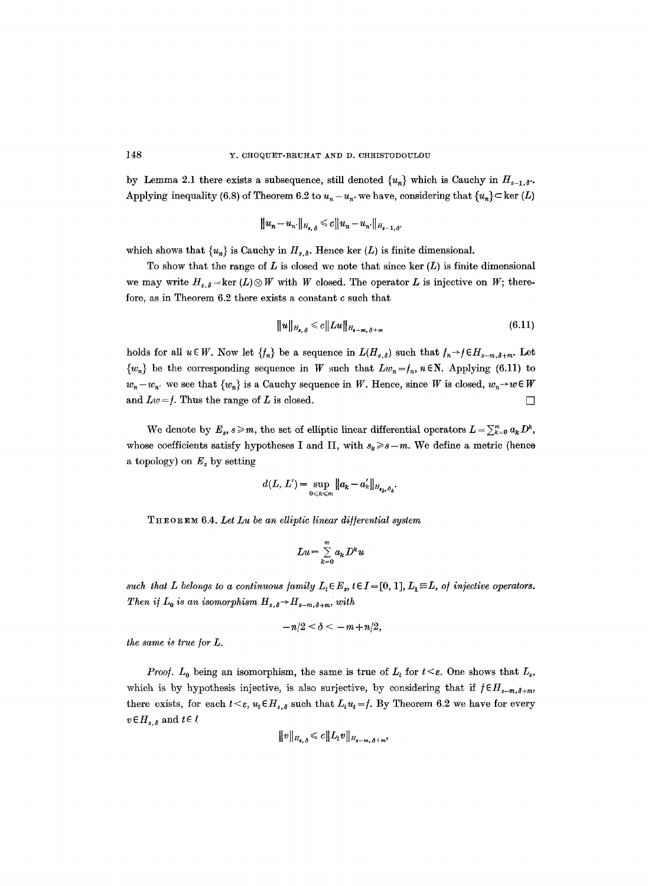by Lemma 2.1 there exists a subsequence, still denoted  $\{u_n\}$  which is Cauchy in  $H_{s-1,\delta}$ . Applying inequality (6.8) of Theorem 6.2 to  $u_n - u_{n'}$ , we have, considering that  $\{u_n\} \subset \text{ker } (L)$ 

$$
\|u_n\!-\!u_{n'}\|_{H_{s,\,\delta}}\!\leqslant\!c\|u_n\!-\!u_{n'}\|_{H_{s-1,\,\delta'}}
$$

which shows that  $\{u_n\}$  is Cauchy in  $H_{s,\delta}$ . Hence ker  $(L)$  is finite dimensional.

To show that the range of  $L$  is closed we note that since ker  $(L)$  is finite dimensional we may write  $H_{s,\delta} = \ker (L) \otimes W$  with W closed. The operator L is injective on W; therefore, as in Theorem 6.2 there exists a constant c such that

$$
||u||_{H_{s,\delta}} \leq c||Lu||_{H_{s-m,\delta+m}}
$$
\n(6.11)

holds for all  $u \in W$ . Now let  $\{f_n\}$  be a sequence in  $L(H_{s,\delta})$  such that  $f_n \to f \in H_{s-m,\delta+m}$ . Let  ${w_n}$  be the corresponding sequence in W such that  $Lw_n=f_n$ ,  $n\in\mathbb{N}$ . Applying (6.11) to  $w_n-w_{n'}$  we see that  $\{w_n\}$  is a Cauchy sequence in W. Hence, since W is closed,  $w_n\rightarrow w\in W$ and  $Lw = f$ . Thus the range of L is closed.

We denote by  $E_s$ ,  $s \geq m$ , the set of elliptic linear differential operators  $L = \sum_{k=0}^m a_k D^k$ , whose coefficients satisfy hypotheses I and II, with  $s_k \geq s-m$ . We define a metric (hence a topology) on  $E_s$  by setting

$$
d(L, L') = \sup_{0 \le k \le m} ||a_k - a'_k||_{H_{\mathbf{s}_k, \delta_k}}.
$$

T H ~ o ~ E ~ 6.4. *Let Lu be an elliptic linear di]/erential system* 

$$
Lu = \sum_{k=0}^m a_k D^k u
$$

such that L belongs to a continuous family  $L_t \in E_s$ ,  $t \in I = [0, 1], L_1 \equiv L$ , of injective operators. *Then if*  $L_0$  *is an isomorphism*  $H_{s,\delta} \rightarrow H_{s-m,\delta+m}$ , with

$$
-n/2 < \delta < -m+n/2,
$$

*the same is true for L.* 

*Proof.*  $L_0$  being an isomorphism, the same is true of  $L_t$  for  $t \leq \varepsilon$ . One shows that  $L_{\varepsilon}$ , which is by hypothesis injective, is also surjective, by considering that if  $f \in H_{s-m,\delta+m}$ , there exists, for each  $t \leq \varepsilon$ ,  $u_t \in H_s$ , such that  $L_t u_t = f$ . By Theorem 6.2 we have for every  $v \in H_{s,\delta}$  and  $t \in I$ 

$$
\|v\|_{H_{s,\delta}} \leqslant c \|L_t v\|_{H_{s-m,\delta+m}},
$$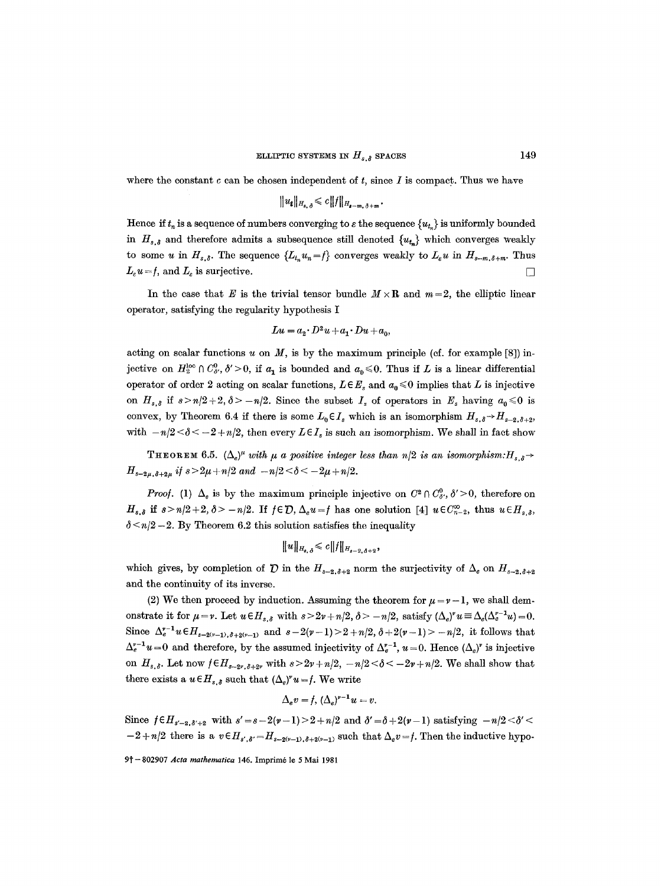where the constant  $c$  can be chosen independent of  $t$ , since  $I$  is compact. Thus we have

$$
||u_t||_{H_{s,\delta}} \leqslant c||f||_{H_{s-m,\delta+m}}.
$$

Hence if  $t_n$  is a sequence of numbers converging to  $\varepsilon$  the sequence  $\{u_t\}$  is uniformly bounded in  $H_{s,\delta}$  and therefore admits a subsequence still denoted  $\{u_{t_n}\}\$  which converges weakly to some *u* in  $H_{s,\delta}$ . The sequence  $\{L_{t_n}u_n=f\}$  converges weakly to  $L_{\varepsilon}u$  in  $H_{s-m,\delta+m}$ . Thus  $L_{\varepsilon}u = f, \text{ and } L_{\varepsilon} \text{ is surjective.}$ 

In the case that E is the trivial tensor bundle  $M \times \mathbb{R}$  and  $m=2$ , the elliptic linear operator, satisfying the regularity hypothesis I

$$
Lu = a_2 \cdot D^2u + a_1 \cdot Du + a_0,
$$

acting on scalar functions  $u$  on  $M$ , is by the maximum principle (cf. for example [8]) injective on  $H_2^{\text{loc}} \cap C_{\delta}^0$ ,  $\delta' > 0$ , if  $a_1$  is bounded and  $a_0 \le 0$ . Thus if L is a linear differential operator of order 2 acting on scalar functions,  $L \in E_s$  and  $a_0 \le 0$  implies that L is injective on  $H_{s,\delta}$  if  $s>n/2+2, \delta >-n/2$ . Since the subset  $I_s$  of operators in  $E_s$  having  $a_0 \leq 0$  is convex, by Theorem 6.4 if there is some  $L_0 \in I_s$  which is an isomorphism  $H_{s,\delta} \to H_{s-2,\delta+2}$ , with  $-n/2 < \delta < -2 + n/2$ , then every  $L \in I_s$  is such an isomorphism. We shall in fact show

THEOREM 6.5.  $(\Delta_e)^{\mu}$  *with*  $\mu$  *a positive integer less than n/2 is an isomorphism:*  $H_{s,\delta}$   $\rightarrow$  $H_{s-2\mu,\delta+2\mu}$  if  $s>2\mu+n/2$  and  $-n/2<\delta<-2\mu+n/2$ .

*Proof.* (1)  $\Delta_e$  is by the maximum principle injective on  $C^2 \cap C^0_{\delta}, \delta' > 0$ , therefore on  $H_{s,\delta}$  if  $s>n/2+2, \delta>-n/2$ . If  $f\in \mathcal{D}$ ,  $\Delta_e u=f$  has one solution [4]  $u\in C^{\infty}_{n-2}$ , thus  $u\in H_{s,\delta}$ ,  $\delta$  <n/2-2. By Theorem 6.2 this solution satisfies the inequality

$$
\|u\|_{H_{s,\delta}} \leqslant c \|f\|_{H_{s-2,\delta+2}},
$$

which gives, by completion of  $\mathcal D$  in the  $H_{s-2,\delta+2}$  norm the surjectivity of  $\Delta_e$  on  $H_{s-2,\delta+2}$ and the continuity of its inverse.

(2) We then proceed by induction. Assuming the theorem for  $\mu = \nu - 1$ , we shall demonstrate it for  $\mu = \nu$ . Let  $u \in H_{s,\delta}$  with  $s > 2\nu + n/2$ ,  $\delta > -n/2$ , satisfy  $(\Delta_e)^{\nu} u \equiv \Delta_e(\Delta_e^{\nu-1} u) = 0$ . Since  $\Delta_e^{r-1} u \in H_{s-2(r-1),\delta+2(r-1)}$  and  $s-2(r-1) > 2+n/2, \delta+2(r-1) > -n/2$ , it follows that  $\Delta_e^{v-1}u=0$  and therefore, by the assumed injectivity of  $\Delta_e^{v-1}$ ,  $u=0$ . Hence  $(\Delta_e)^v$  is injective on  $H_{s,d}$ . Let now  $f \in H_{s-2\nu, \delta+3\nu}$  with  $s > 2\nu + n/2$ ,  $-n/2 < \delta < -2\nu + n/2$ . We shall show that there exists a  $u \in H_{s,\delta}$  such that  $(\Delta_e)^{v} u = f$ . We write

$$
\Delta_e v = f, \, (\Delta_e)^{v-1} u = v.
$$

Since  $f \in H_{s'-2,\delta'+2}$  with  $s' = s - 2(\nu - 1) > 2 + n/2$  and  $\delta' = \delta + 2(\nu - 1)$  satisfying  $-n/2 < \delta' <$  $-2 + n/2$  there is a  $v \in H_{s',\delta'} = H_{s-2(v-1),\delta+2(v-1)}$  such that  $\Delta_e v = f$ . Then the inductive hypo-

<sup>9</sup>t--802907 *Acta mathematica* 146. Imprim6 le 5 Mai 1981